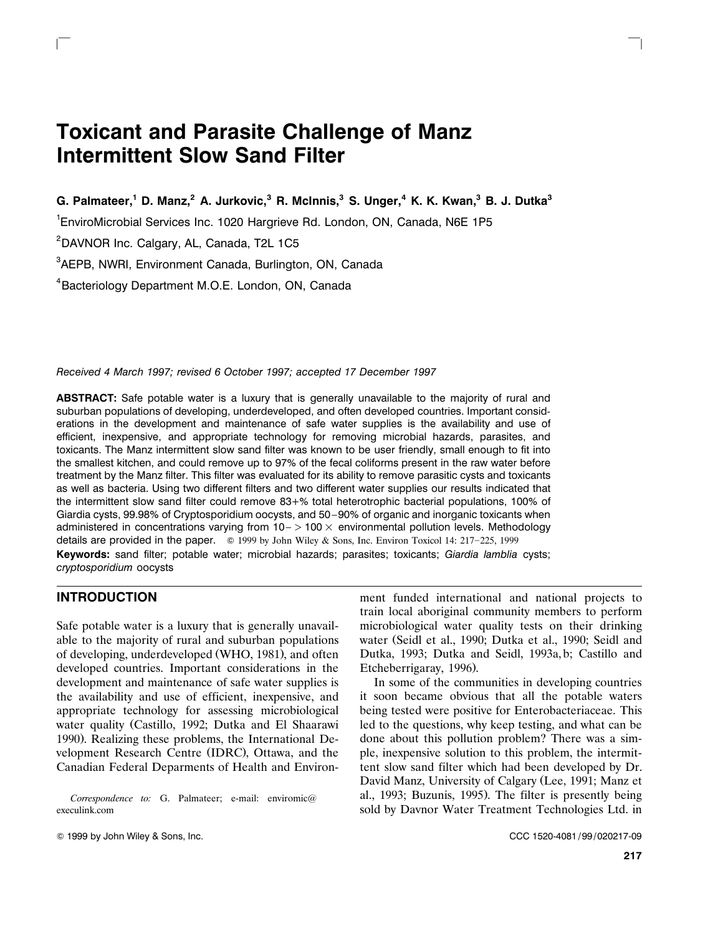# **Toxicant and Parasite Challenge of Manz Intermittent Slow Sand Filter**

**G. Palmateer,1 D. Manz,<sup>2</sup> A. Jurkovic,<sup>3</sup> R. McInnis,3 S. Unger,<sup>4</sup> K. K. Kwan,3 B. J. Dutka<sup>3</sup>**

 $\frac{1}{2}$  ) and the contract of the contract of the contract of the contract of the contract of the contract of the contract of the contract of the contract of the contract of the contract of the contract of the contract

<sup>1</sup>EnviroMicrobial Services Inc. 1020 Hargrieve Rd. London, ON, Canada, N6E 1P5

<sup>2</sup>DAVNOR Inc. Calgary, AL, Canada, T2L 1C5

 $\overline{\phantom{a}}$ 

3 AEPB, NWRI, Environment Canada, Burlington, ON, Canada

4 Bacteriology Department M.O.E. London, ON, Canada

*Received 4 March 1997; revised 6 October 1997; accepted 17 December 1997*

**ABSTRACT:** Safe potable water is a luxury that is generally unavailable to the majority of rural and suburban populations of developing, underdeveloped, and often developed countries. Important considerations in the development and maintenance of safe water supplies is the availability and use of efficient, inexpensive, and appropriate technology for removing microbial hazards, parasites, and toxicants. The Manz intermittent slow sand filter was known to be user friendly, small enough to fit into the smallest kitchen, and could remove up to 97% of the fecal coliforms present in the raw water before treatment by the Manz filter. This filter was evaluated for its ability to remove parasitic cysts and toxicants as well as bacteria. Using two different filters and two different water supplies our results indicated that the intermittent slow sand filter could remove 83+% total heterotrophic bacterial populations, 100% of Giardia cysts, 99.98% of Cryptosporidium oocysts, and 50–90% of organic and inorganic toxicants when administered in concentrations varying from  $10 - 100 \times$  environmental pollution levels. Methodology details are provided in the paper.  $\circ$  1999 by John Wiley & Sons, Inc. Environ Toxicol 14: 217–225, 1999 **Keywords:** sand filter; potable water; microbial hazards; parasites; toxicants; *Giardia lamblia* cysts; *cryptosporidium* oocysts

# **INTRODUCTION**

Safe potable water is a luxury that is generally unavailable to the majority of rural and suburban populations of developing, underdeveloped (WHO, 1981), and often developed countries. Important considerations in the development and maintenance of safe water supplies is the availability and use of efficient, inexpensive, and appropriate technology for assessing microbiological water quality (Castillo, 1992; Dutka and El Shaarawi 1990). Realizing these problems, the International Development Research Centre (IDRC), Ottawa, and the Canadian Federal Deparments of Health and Environ-

*Correspondence to:* G. Palmateer; e-mail: enviromic@ execulink.com

ment funded international and national projects to train local aboriginal community members to perform microbiological water quality tests on their drinking water (Seidl et al., 1990; Dutka et al., 1990; Seidl and Dutka, 1993; Dutka and Seidl, 1993a, b; Castillo and Etcheberrigaray, 1996).

In some of the communities in developing countries it soon became obvious that all the potable waters being tested were positive for Enterobacteriaceae. This led to the questions, why keep testing, and what can be done about this pollution problem? There was a simple, inexpensive solution to this problem, the intermittent slow sand filter which had been developed by Dr. David Manz, University of Calgary (Lee, 1991; Manz et al., 1993; Buzunis, 1995). The filter is presently being sold by Davnor Water Treatment Technologies Ltd. in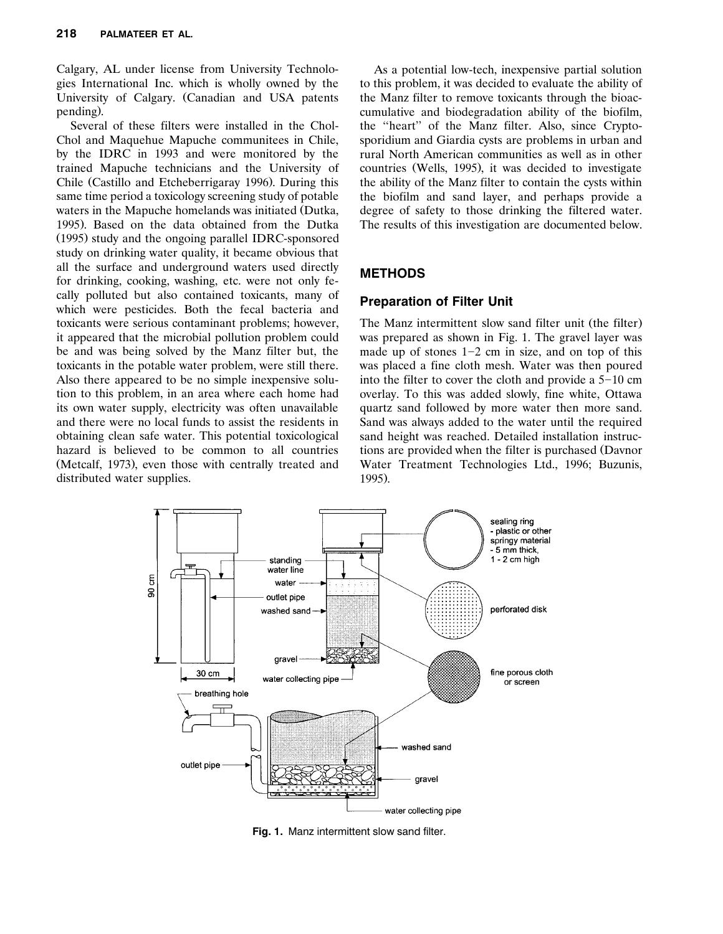Calgary, AL under license from University Technologies International Inc. which is wholly owned by the University of Calgary. (Canadian and USA patents pending).

Several of these filters were installed in the Chol-Chol and Maquehue Mapuche communitees in Chile, by the IDRC in 1993 and were monitored by the trained Mapuche technicians and the University of Chile (Castillo and Etcheberrigaray 1996). During this same time period a toxicology screening study of potable waters in the Mapuche homelands was initiated (Dutka, 1995). Based on the data obtained from the Dutka (1995) study and the ongoing parallel IDRC-sponsored study on drinking water quality, it became obvious that all the surface and underground waters used directly for drinking, cooking, washing, etc. were not only fecally polluted but also contained toxicants, many of which were pesticides. Both the fecal bacteria and toxicants were serious contaminant problems; however, it appeared that the microbial pollution problem could be and was being solved by the Manz filter but, the toxicants in the potable water problem, were still there. Also there appeared to be no simple inexpensive solution to this problem, in an area where each home had its own water supply, electricity was often unavailable and there were no local funds to assist the residents in obtaining clean safe water. This potential toxicological hazard is believed to be common to all countries (Metcalf, 1973), even those with centrally treated and distributed water supplies.

As a potential low-tech, inexpensive partial solution to this problem, it was decided to evaluate the ability of the Manz filter to remove toxicants through the bioaccumulative and biodegradation ability of the biofilm, the ''heart'' of the Manz filter. Also, since Cryptosporidium and Giardia cysts are problems in urban and rural North American communities as well as in other countries (Wells, 1995), it was decided to investigate the ability of the Manz filter to contain the cysts within the biofilm and sand layer, and perhaps provide a degree of safety to those drinking the filtered water. The results of this investigation are documented below.

## **METHODS**

## **Preparation of Filter Unit**

The Manz intermittent slow sand filter unit (the filter) was prepared as shown in Fig. 1. The gravel layer was made up of stones  $1-2$  cm in size, and on top of this was placed a fine cloth mesh. Water was then poured into the filter to cover the cloth and provide a  $5-10$  cm overlay. To this was added slowly, fine white, Ottawa quartz sand followed by more water then more sand. Sand was always added to the water until the required sand height was reached. Detailed installation instructions are provided when the filter is purchased (Davnor Water Treatment Technologies Ltd., 1996; Buzunis, 1995).



**Fig. 1.** Manz intermittent slow sand filter.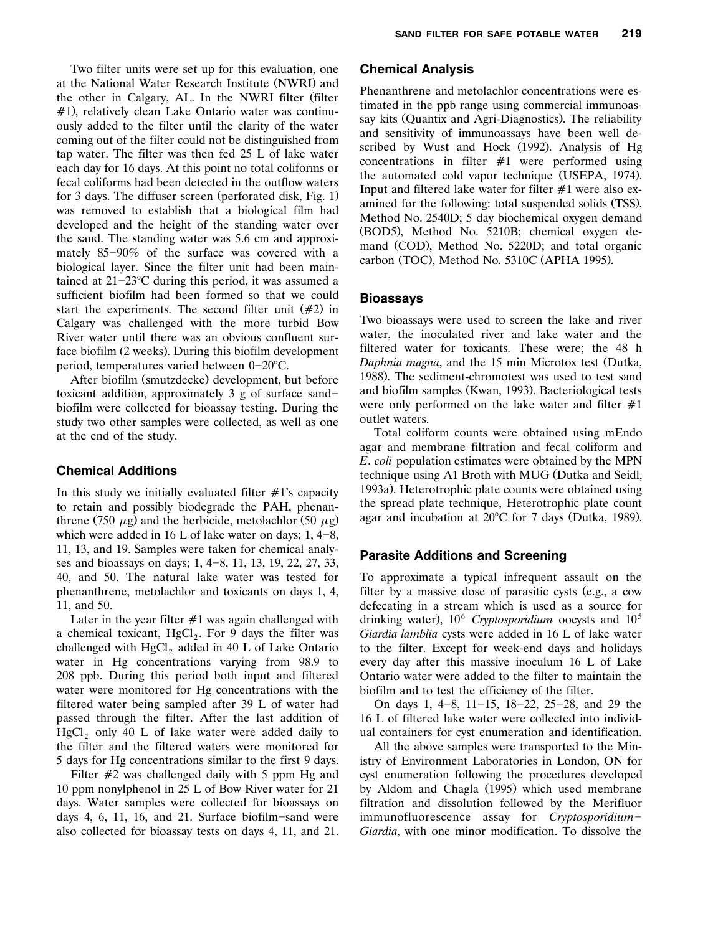Two filter units were set up for this evaluation, one at the National Water Research Institute (NWRI) and the other in Calgary, AL. In the NWRI filter (filter  $#1$ , relatively clean Lake Ontario water was continuously added to the filter until the clarity of the water coming out of the filter could not be distinguished from tap water. The filter was then fed 25 L of lake water each day for 16 days. At this point no total coliforms or fecal coliforms had been detected in the outflow waters for 3 days. The diffuser screen (perforated disk, Fig.  $1$ ) was removed to establish that a biological film had developed and the height of the standing water over the sand. The standing water was 5.6 cm and approximately  $85-90\%$  of the surface was covered with a biological layer. Since the filter unit had been maintained at  $21-23$ °C during this period, it was assumed a sufficient biofilm had been formed so that we could start the experiments. The second filter unit  $(\#2)$  in Calgary was challenged with the more turbid Bow River water until there was an obvious confluent surface biofilm (2 weeks). During this biofilm development period, temperatures varied between  $0-20^{\circ}$ C.

After biofilm (smutzdecke) development, but before toxicant addition, approximately  $3 \text{ g}$  of surface sandbiofilm were collected for bioassay testing. During the study two other samples were collected, as well as one at the end of the study.

## **Chemical Additions**

In this study we initially evaluated filter  $#1$ 's capacity to retain and possibly biodegrade the PAH, phenanthrene (750  $\mu$ g) and the herbicide, metolachlor (50  $\mu$ g) which were added in 16 L of lake water on days;  $1, 4-8$ , 11, 13, and 19. Samples were taken for chemical analyses and bioassays on days;  $1, 4-8, 11, 13, 19, 22, 27, 33,$ 40, and 50. The natural lake water was tested for phenanthrene, metolachlor and toxicants on days 1, 4, 11, and 50.

Later in the year filter  $#1$  was again challenged with a chemical toxicant,  $HgCl<sub>2</sub>$ . For 9 days the filter was challenged with  $HgCl<sub>2</sub>$  added in 40 L of Lake Ontario water in Hg concentrations varying from 98.9 to 208 ppb. During this period both input and filtered water were monitored for Hg concentrations with the filtered water being sampled after 39 L of water had passed through the filter. After the last addition of  $HgCl<sub>2</sub>$  only 40 L of lake water were added daily to the filter and the filtered waters were monitored for 5 days for Hg concentrations similar to the first 9 days.

Filter  $#2$  was challenged daily with 5 ppm Hg and 10 ppm nonylphenol in 25 L of Bow River water for 21 days. Water samples were collected for bioassays on days 4, 6, 11, 16, and 21. Surface biofilm-sand were also collected for bioassay tests on days 4, 11, and 21.

#### **Chemical Analysis**

Phenanthrene and metolachlor concentrations were estimated in the ppb range using commercial immunoassay kits (Quantix and Agri-Diagnostics). The reliability and sensitivity of immunoassays have been well described by Wust and Hock (1992). Analysis of Hg concentrations in filter  $#1$  were performed using the automated cold vapor technique (USEPA, 1974). Input and filtered lake water for filter  $#1$  were also examined for the following: total suspended solids (TSS), Method No. 2540D; 5 day biochemical oxygen demand (BOD5), Method No. 5210B; chemical oxygen demand (COD), Method No. 5220D; and total organic carbon (TOC), Method No. 5310C (APHA 1995).

#### **Bioassays**

Two bioassays were used to screen the lake and river water, the inoculated river and lake water and the filtered water for toxicants. These were; the 48 h *Daphnia magna*, and the 15 min Microtox test (Dutka, 1988). The sediment-chromotest was used to test sand and biofilm samples (Kwan, 1993). Bacteriological tests were only performed on the lake water and filter  $#1$ outlet waters.

Total coliform counts were obtained using mEndo agar and membrane filtration and fecal coliform and *E*. *coli* population estimates were obtained by the MPN technique using A1 Broth with MUG (Dutka and Seidl, 1993a). Heterotrophic plate counts were obtained using the spread plate technique, Heterotrophic plate count agar and incubation at  $20^{\circ}$ C for 7 days (Dutka, 1989).

#### **Parasite Additions and Screening**

To approximate a typical infrequent assault on the filter by a massive dose of parasitic cysts (e.g., a cow defecating in a stream which is used as a source for drinking water), 10<sup>6</sup> Cryptosporidium oocysts and 10<sup>5</sup> *Giardia lamblia* cysts were added in 16 L of lake water to the filter. Except for week-end days and holidays every day after this massive inoculum 16 L of Lake Ontario water were added to the filter to maintain the biofilm and to test the efficiency of the filter.

On days 1,  $4-8$ ,  $11-15$ ,  $18-22$ ,  $25-28$ , and 29 the 16 L of filtered lake water were collected into individual containers for cyst enumeration and identification.

All the above samples were transported to the Ministry of Environment Laboratories in London, ON for cyst enumeration following the procedures developed by Aldom and Chagla (1995) which used membrane filtration and dissolution followed by the Merifluor immunofluorescence assay for *Cryptosporidium*-*Giardia*, with one minor modification. To dissolve the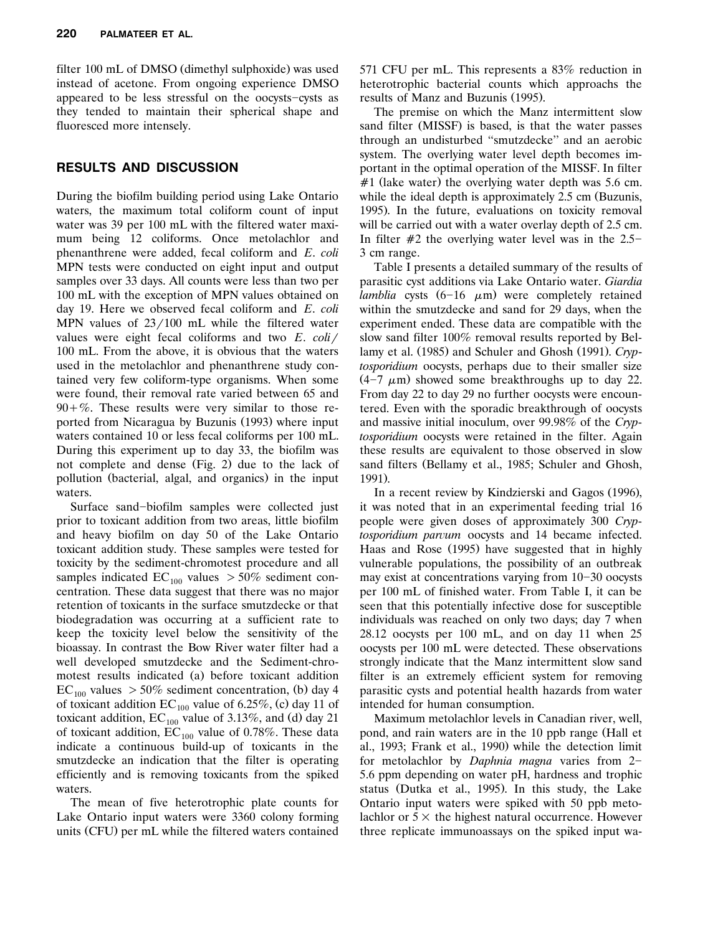filter 100 mL of DMSO (dimethyl sulphoxide) was used instead of acetone. From ongoing experience DMSO appeared to be less stressful on the oocysts-cysts as they tended to maintain their spherical shape and fluoresced more intensely.

# **RESULTS AND DISCUSSION**

During the biofilm building period using Lake Ontario waters, the maximum total coliform count of input water was 39 per 100 mL with the filtered water maximum being 12 coliforms. Once metolachlor and phenanthrene were added, fecal coliform and *E*. *coli* MPN tests were conducted on eight input and output samples over 33 days. All counts were less than two per 100 mL with the exception of MPN values obtained on day 19. Here we observed fecal coliform and *E*. *coli* MPN values of  $23/100$  mL while the filtered water values were eight fecal coliforms and two  $E$ .  $\frac{coli}{t}$ 100 mL. From the above, it is obvious that the waters used in the metolachlor and phenanthrene study contained very few coliform-type organisms. When some were found, their removal rate varied between 65 and  $90 + \%$ . These results were very similar to those reported from Nicaragua by Buzunis (1993) where input waters contained 10 or less fecal coliforms per 100 mL. During this experiment up to day 33, the biofilm was not complete and dense (Fig. 2) due to the lack of pollution (bacterial, algal, and organics) in the input waters.

Surface sand-biofilm samples were collected just prior to toxicant addition from two areas, little biofilm and heavy biofilm on day 50 of the Lake Ontario toxicant addition study. These samples were tested for toxicity by the sediment-chromotest procedure and all samples indicated  $EC_{100}$  values  $> 50\%$  sediment concentration. These data suggest that there was no major retention of toxicants in the surface smutzdecke or that biodegradation was occurring at a sufficient rate to keep the toxicity level below the sensitivity of the bioassay. In contrast the Bow River water filter had a well developed smutzdecke and the Sediment-chromotest results indicated (a) before toxicant addition  $EC_{100}$  values  $> 50\%$  sediment concentration, (b) day 4 of toxicant addition  $EC_{100}$  value of 6.25%, (c) day 11 of toxicant addition,  $EC_{100}$  value of 3.13%, and (d) day 21 of toxicant addition,  $EC_{100}$  value of 0.78%. These data indicate a continuous build-up of toxicants in the smutzdecke an indication that the filter is operating efficiently and is removing toxicants from the spiked waters.

The mean of five heterotrophic plate counts for Lake Ontario input waters were 3360 colony forming units (CFU) per mL while the filtered waters contained 571 CFU per mL. This represents a 83% reduction in heterotrophic bacterial counts which approachs the results of Manz and Buzunis (1995).

The premise on which the Manz intermittent slow sand filter (MISSF) is based, is that the water passes through an undisturbed ''smutzdecke'' and an aerobic system. The overlying water level depth becomes important in the optimal operation of the MISSF. In filter  $#1$  (lake water) the overlying water depth was 5.6 cm. while the ideal depth is approximately  $2.5$  cm (Buzunis, 1995). In the future, evaluations on toxicity removal will be carried out with a water overlay depth of 2.5 cm. In filter  $#2$  the overlying water level was in the 2.5-3 cm range.

Table I presents a detailed summary of the results of parasitic cyst additions via Lake Ontario water. *Giardia lamblia* cysts  $(6-16 \mu m)$  were completely retained within the smutzdecke and sand for 29 days, when the experiment ended. These data are compatible with the slow sand filter 100% removal results reported by Bellamy et al. (1985) and Schuler and Ghosh (1991). *Cryptosporidium* oocysts, perhaps due to their smaller size  $(4-7 \mu m)$  showed some breakthroughs up to day 22. From day 22 to day 29 no further oocysts were encountered. Even with the sporadic breakthrough of oocysts and massive initial inoculum, over 99.98% of the *Cryptosporidium* oocysts were retained in the filter. Again these results are equivalent to those observed in slow sand filters (Bellamy et al., 1985; Schuler and Ghosh, 1991).

In a recent review by Kindzierski and Gagos (1996), it was noted that in an experimental feeding trial 16 people were given doses of approximately 300 *Cryptosporidium parvum* oocysts and 14 became infected. Haas and Rose (1995) have suggested that in highly vulnerable populations, the possibility of an outbreak may exist at concentrations varying from  $10-30$  oocysts per 100 mL of finished water. From Table I, it can be seen that this potentially infective dose for susceptible individuals was reached on only two days; day 7 when 28.12 oocysts per 100 mL, and on day 11 when 25 oocysts per 100 mL were detected. These observations strongly indicate that the Manz intermittent slow sand filter is an extremely efficient system for removing parasitic cysts and potential health hazards from water intended for human consumption.

Maximum metolachlor levels in Canadian river, well, pond, and rain waters are in the 10 ppb range (Hall et al., 1993; Frank et al., 1990) while the detection limit for metolachlor by *Daphnia magna* varies from 2-5.6 ppm depending on water pH, hardness and trophic status (Dutka et al., 1995). In this study, the Lake Ontario input waters were spiked with 50 ppb metolachlor or  $5 \times$  the highest natural occurrence. However three replicate immunoassays on the spiked input wa-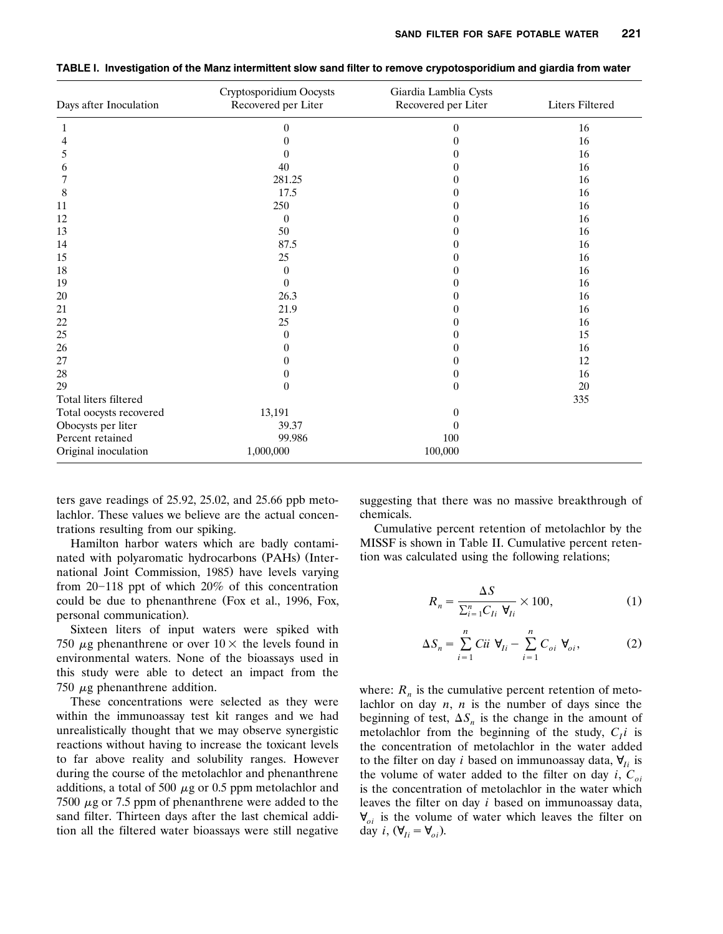| Days after Inoculation  | Cryptosporidium Oocysts<br>Recovered per Liter | Giardia Lamblia Cysts<br>Recovered per Liter | <b>Liters Filtered</b> |  |
|-------------------------|------------------------------------------------|----------------------------------------------|------------------------|--|
| 1                       | $\theta$                                       | 0                                            | 16                     |  |
| 4                       | $\theta$                                       | 0                                            | 16                     |  |
| 5                       | 0                                              | 0                                            | 16                     |  |
| 6                       | 40                                             | 0                                            | 16                     |  |
| 7                       | 281.25                                         | 0                                            | 16                     |  |
| 8                       | 17.5                                           | 0                                            | 16                     |  |
| 11                      | 250                                            | 0                                            | 16                     |  |
| 12                      | $\theta$                                       | 0                                            | 16                     |  |
| 13                      | 50                                             | 0                                            | 16                     |  |
| 14                      | 87.5                                           | 0                                            | 16                     |  |
| 15                      | 25                                             | 0                                            | 16                     |  |
| 18                      | $\overline{0}$                                 | 0                                            | 16                     |  |
| 19                      | $\Omega$                                       | 0                                            | 16                     |  |
| 20                      | 26.3                                           | 0                                            | 16                     |  |
| 21                      | 21.9                                           | 0                                            | 16                     |  |
| 22                      | 25                                             | 0                                            | 16                     |  |
| 25                      | $\theta$                                       | 0                                            | 15                     |  |
| 26                      | $\theta$                                       | 0                                            | 16                     |  |
| 27                      | 0                                              | 0                                            | 12                     |  |
| 28                      | $\overline{0}$                                 | $\theta$                                     | 16                     |  |
| 29                      | $\overline{0}$                                 | $\theta$                                     | 20                     |  |
| Total liters filtered   |                                                |                                              | 335                    |  |
| Total oocysts recovered | 13,191                                         | $\overline{0}$                               |                        |  |
| Obocysts per liter      | 39.37                                          | $\theta$                                     |                        |  |
| Percent retained        | 99.986                                         | 100                                          |                        |  |
| Original inoculation    | 1,000,000                                      | 100,000                                      |                        |  |

**TABLE I. Investigation of the Manz intermittent slow sand filter to remove crypotosporidium and giardia from water**

ters gave readings of 25.92, 25.02, and 25.66 ppb metolachlor. These values we believe are the actual concentrations resulting from our spiking.

Hamilton harbor waters which are badly contaminated with polyaromatic hydrocarbons (PAHs) (International Joint Commission, 1985) have levels varying from  $20-118$  ppt of which  $20\%$  of this concentration could be due to phenanthrene (Fox et al., 1996, Fox, personal communication.

Sixteen liters of input waters were spiked with 750  $\mu$ g phenanthrene or over 10  $\times$  the levels found in environmental waters. None of the bioassays used in this study were able to detect an impact from the 750  $\mu$ g phenanthrene addition.

These concentrations were selected as they were within the immunoassay test kit ranges and we had unrealistically thought that we may observe synergistic reactions without having to increase the toxicant levels to far above reality and solubility ranges. However during the course of the metolachlor and phenanthrene additions, a total of 500  $\mu$ g or 0.5 ppm metolachlor and 7500  $\mu$ g or 7.5 ppm of phenanthrene were added to the sand filter. Thirteen days after the last chemical addition all the filtered water bioassays were still negative suggesting that there was no massive breakthrough of chemicals.

Cumulative percent retention of metolachlor by the MISSF is shown in Table II. Cumulative percent retention was calculated using the following relations;

$$
R_n = \frac{\Delta S}{\sum_{i=1}^n C_{Ii} \ \mathbf{\mathsf{V}}_{Ii}} \times 100,\tag{1}
$$

$$
\Delta S_n = \sum_{i=1}^n Cii \ \forall_{Ii} - \sum_{i=1}^n C_{oi} \ \forall_{oi}, \tag{2}
$$

where:  $R_n$  is the cumulative percent retention of metolachlor on day *n*, *n* is the number of days since the beginning of test,  $\Delta S_n$  is the change in the amount of metolachlor from the beginning of the study,  $C<sub>l</sub>i$  is the concentration of metolachlor in the water added to the filter on day *i* based on immunoassay data,  $\mathbf{V}_{Ii}$  is the volume of water added to the filter on day *i*,  $C_{oi}$ is the concentration of metolachlor in the water which leaves the filter on day *i* based on immunoassay data,  $\mathbf{V}_{oi}$  is the volume of water which leaves the filter on day *i*,  $(\forall_{Ii} = \forall_{oi})$ .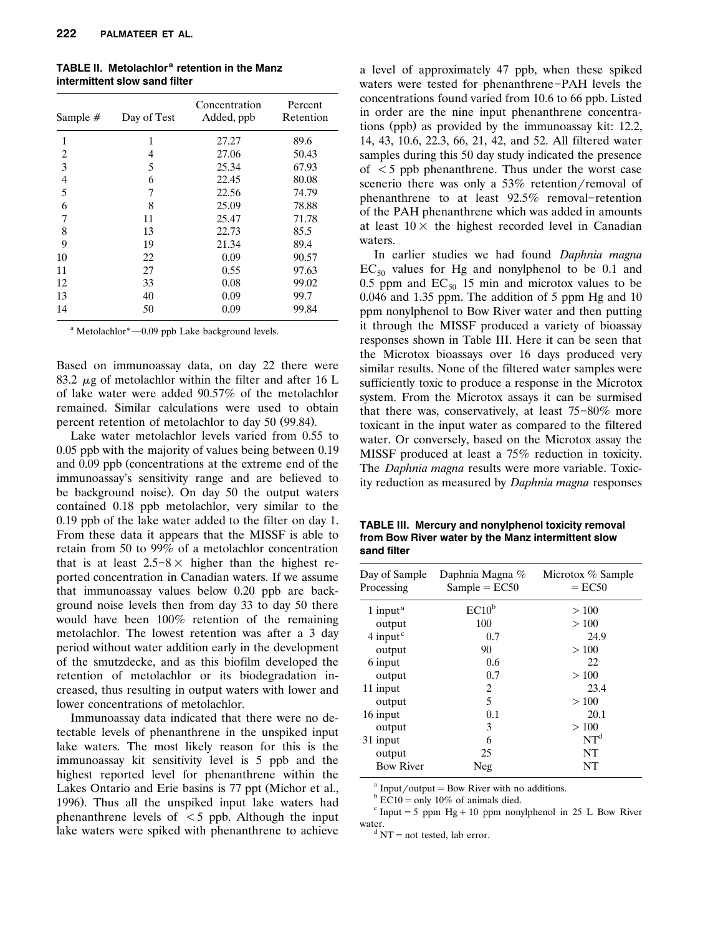| Sample # | Day of Test | Concentration<br>Added, ppb | Percent<br>Retention |
|----------|-------------|-----------------------------|----------------------|
| 1        | 1           | 27.27                       | 89.6                 |
| 2        | 4           | 27.06                       | 50.43                |
| 3        | 5           | 25.34                       | 67.93                |
| 4        | 6           | 22.45                       | 80.08                |
| 5        | 7           | 22.56                       | 74.79                |
| 6        | 8           | 25.09                       | 78.88                |
| 7        | 11          | 25.47                       | 71.78                |
| 8        | 13          | 22.73                       | 85.5                 |
| 9        | 19          | 21.34                       | 89.4                 |
| 10       | 22          | 0.09                        | 90.57                |
| 11       | 27          | 0.55                        | 97.63                |
| 12       | 33          | 0.08                        | 99.02                |
| 13       | 40          | 0.09                        | 99.7                 |
| 14       | 50          | 0.09                        | 99.84                |

**TABLE II. Metolachlor<sup>a</sup> retention in the Manz intermittent slow sand filter**

 $^{\circ}$  Metolachlor $^{\circ}$  -0.09 ppb Lake background levels.

Based on immunoassay data, on day 22 there were 83.2  $\mu$ g of metolachlor within the filter and after 16 L of lake water were added 90.57% of the metolachlor remained. Similar calculations were used to obtain percent retention of metolachlor to day 50 (99.84).

Lake water metolachlor levels varied from 0.55 to 0.05 ppb with the majority of values being between 0.19 and 0.09 ppb (concentrations at the extreme end of the immunoassay's sensitivity range and are believed to be background noise). On day 50 the output waters contained 0.18 ppb metolachlor, very similar to the 0.19 ppb of the lake water added to the filter on day 1. From these data it appears that the MISSF is able to retain from 50 to 99% of a metolachlor concentration that is at least  $2.5-8\times$  higher than the highest reported concentration in Canadian waters. If we assume that immunoassay values below 0.20 ppb are background noise levels then from day 33 to day 50 there would have been 100% retention of the remaining metolachlor. The lowest retention was after a 3 day period without water addition early in the development of the smutzdecke, and as this biofilm developed the retention of metolachlor or its biodegradation increased, thus resulting in output waters with lower and lower concentrations of metolachlor.

Immunoassay data indicated that there were no detectable levels of phenanthrene in the unspiked input lake waters. The most likely reason for this is the immunoassay kit sensitivity level is 5 ppb and the highest reported level for phenanthrene within the Lakes Ontario and Erie basins is 77 ppt (Michor et al., 1996). Thus all the unspiked input lake waters had phenanthrene levels of  $\lt$  5 ppb. Although the input lake waters were spiked with phenanthrene to achieve

a level of approximately 47 ppb, when these spiked waters were tested for phenanthrene-PAH levels the concentrations found varied from 10.6 to 66 ppb. Listed in order are the nine input phenanthrene concentrations (ppb) as provided by the immunoassay kit: 12.2, 14, 43, 10.6, 22.3, 66, 21, 42, and 52. All filtered water samples during this 50 day study indicated the presence of  $\leq$  5 ppb phenanthrene. Thus under the worst case scenerio there was only a  $53\%$  retention/removal of phenanthrene to at least  $92.5\%$  removal-retention of the PAH phenanthrene which was added in amounts at least  $10\times$  the highest recorded level in Canadian waters.

In earlier studies we had found *Daphnia magna*  $EC_{50}$  values for Hg and nonylphenol to be 0.1 and 0.5 ppm and  $EC_{50}$  15 min and microtox values to be 0.046 and 1.35 ppm. The addition of 5 ppm Hg and 10 ppm nonylphenol to Bow River water and then putting it through the MISSF produced a variety of bioassay responses shown in Table III. Here it can be seen that the Microtox bioassays over 16 days produced very similar results. None of the filtered water samples were sufficiently toxic to produce a response in the Microtox system. From the Microtox assays it can be surmised that there was, conservatively, at least  $75-80\%$  more toxicant in the input water as compared to the filtered water. Or conversely, based on the Microtox assay the MISSF produced at least a 75% reduction in toxicity. The *Daphnia magna* results were more variable. Toxicity reduction as measured by *Daphnia magna* responses

**TABLE III. Mercury and nonylphenol toxicity removal from Bow River water by the Manz intermittent slow sand filter**

| Day of Sample<br>Processing       | Daphnia Magna %<br>$Sample = EC50$ | Microtox % Sample<br>$=$ EC50 |  |  |
|-----------------------------------|------------------------------------|-------------------------------|--|--|
| 1 input <sup><math>a</math></sup> | $EC10^b$                           | >100                          |  |  |
| output                            | 100                                | >100                          |  |  |
| $4$ input $^{\circ}$              | 0.7                                | 24.9                          |  |  |
| output                            | 90                                 | >100                          |  |  |
| 6 input                           | 0.6                                | 22                            |  |  |
| output                            | 0.7                                | >100                          |  |  |
| 11 input                          | 2                                  | 23.4                          |  |  |
| output                            | 5                                  | >100                          |  |  |
| 16 input                          | 0.1                                | 20.1                          |  |  |
| output                            | 3                                  | >100                          |  |  |
| 31 input                          | 6                                  | NT <sup>d</sup>               |  |  |
| output                            | 25                                 | NT                            |  |  |
| <b>Bow River</b>                  | Neg                                | NT                            |  |  |

<sup>a</sup> Input/output = Bow River with no additions.<br><sup>b</sup> EC10 = only 10% of animals died.<br><sup>c</sup> Input = 5 ppm Hg + 10 ppm nonylphenol in 25 L Bow River

water.<br> $\frac{d}{d}NT = not tested, lab error.$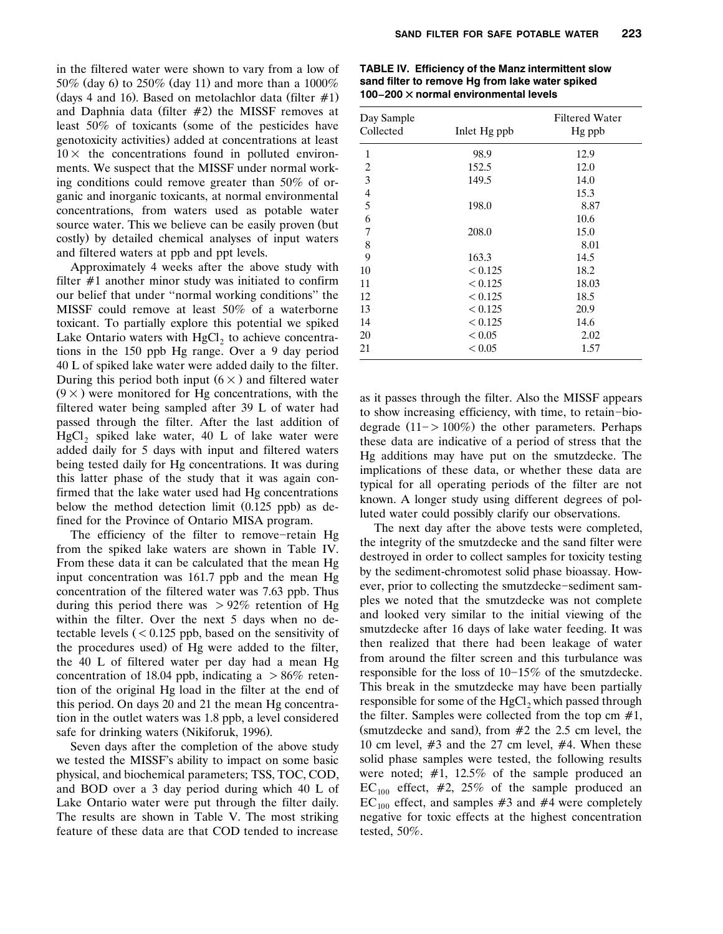in the filtered water were shown to vary from a low of 50% (day 6) to  $250\%$  (day 11) and more than a  $1000\%$ (days 4 and 16). Based on metolachlor data (filter  $\#1$ ) and Daphnia data (filter  $#2$ ) the MISSF removes at least  $50\%$  of toxicants (some of the pesticides have genotoxicity activities) added at concentrations at least  $10\times$  the concentrations found in polluted environments. We suspect that the MISSF under normal working conditions could remove greater than 50% of organic and inorganic toxicants, at normal environmental concentrations, from waters used as potable water source water. This we believe can be easily proven (but costly) by detailed chemical analyses of input waters and filtered waters at ppb and ppt levels.

Approximately 4 weeks after the above study with filter  $#1$  another minor study was initiated to confirm our belief that under ''normal working conditions'' the MISSF could remove at least 50% of a waterborne toxicant. To partially explore this potential we spiked Lake Ontario waters with  $HgCl<sub>2</sub>$  to achieve concentrations in the 150 ppb Hg range. Over a 9 day period 40 L of spiked lake water were added daily to the filter. During this period both input  $(6 \times)$  and filtered water  $(9 \times)$  were monitored for Hg concentrations, with the filtered water being sampled after 39 L of water had passed through the filter. After the last addition of HgCl<sub>2</sub> spiked lake water, 40 L of lake water were added daily for 5 days with input and filtered waters being tested daily for Hg concentrations. It was during this latter phase of the study that it was again confirmed that the lake water used had Hg concentrations below the method detection limit  $(0.125 \text{ pb})$  as defined for the Province of Ontario MISA program.

The efficiency of the filter to remove-retain Hg from the spiked lake waters are shown in Table IV. From these data it can be calculated that the mean Hg input concentration was 161.7 ppb and the mean Hg concentration of the filtered water was 7.63 ppb. Thus during this period there was  $> 92\%$  retention of Hg within the filter. Over the next 5 days when no detectable levels  $(< 0.125$  ppb, based on the sensitivity of the procedures used) of Hg were added to the filter, the 40 L of filtered water per day had a mean Hg concentration of 18.04 ppb, indicating a  $> 86\%$  retention of the original Hg load in the filter at the end of this period. On days 20 and 21 the mean Hg concentration in the outlet waters was 1.8 ppb, a level considered safe for drinking waters (Nikiforuk, 1996).

Seven days after the completion of the above study we tested the MISSF's ability to impact on some basic physical, and biochemical parameters; TSS, TOC, COD, and BOD over a 3 day period during which 40 L of Lake Ontario water were put through the filter daily. The results are shown in Table V. The most striking feature of these data are that COD tended to increase

| TABLE IV. Efficiency of the Manz intermittent slow |  |  |  |
|----------------------------------------------------|--|--|--|
| sand filter to remove Hg from lake water spiked    |  |  |  |
| 100-200 $\times$ normal environmental levels       |  |  |  |

| Day Sample<br>Collected  | Inlet Hg ppb | <b>Filtered Water</b><br>Hg ppb |  |  |
|--------------------------|--------------|---------------------------------|--|--|
| 1                        | 98.9         | 12.9                            |  |  |
| $\overline{c}$           | 152.5        | 12.0                            |  |  |
| $\overline{3}$           | 149.5        | 14.0                            |  |  |
| $\overline{\mathcal{L}}$ |              | 15.3                            |  |  |
| 5                        | 198.0        | 8.87                            |  |  |
| 6                        |              | 10.6                            |  |  |
| 7                        | 208.0        | 15.0                            |  |  |
| 8                        |              | 8.01                            |  |  |
| 9                        | 163.3        | 14.5                            |  |  |
| 10                       | < 0.125      | 18.2                            |  |  |
| 11                       | < 0.125      | 18.03                           |  |  |
| 12                       | < 0.125      | 18.5                            |  |  |
| 13                       | < 0.125      | 20.9                            |  |  |
| 14                       | < 0.125      | 14.6                            |  |  |
| 20                       | < 0.05       | 2.02                            |  |  |
| 21                       | < 0.05       | 1.57                            |  |  |

as it passes through the filter. Also the MISSF appears to show increasing efficiency, with time, to retain-biodegrade  $(11 - > 100\%)$  the other parameters. Perhaps these data are indicative of a period of stress that the Hg additions may have put on the smutzdecke. The implications of these data, or whether these data are typical for all operating periods of the filter are not known. A longer study using different degrees of polluted water could possibly clarify our observations.

The next day after the above tests were completed, the integrity of the smutzdecke and the sand filter were destroyed in order to collect samples for toxicity testing by the sediment-chromotest solid phase bioassay. However, prior to collecting the smutzdecke-sediment samples we noted that the smutzdecke was not complete and looked very similar to the initial viewing of the smutzdecke after 16 days of lake water feeding. It was then realized that there had been leakage of water from around the filter screen and this turbulance was responsible for the loss of  $10-15\%$  of the smutzdecke. This break in the smutzdecke may have been partially responsible for some of the  $HgCl<sub>2</sub>$  which passed through the filter. Samples were collected from the top cm  $#1$ , (smutzdecke and sand), from  $#2$  the 2.5 cm level, the 10 cm level,  $#3$  and the 27 cm level,  $#4$ . When these solid phase samples were tested, the following results were noted;  $\#1$ , 12.5% of the sample produced an  $EC_{100}$  effect, #2, 25% of the sample produced an  $EC_{100}$  effect, and samples #3 and #4 were completely negative for toxic effects at the highest concentration tested, 50%.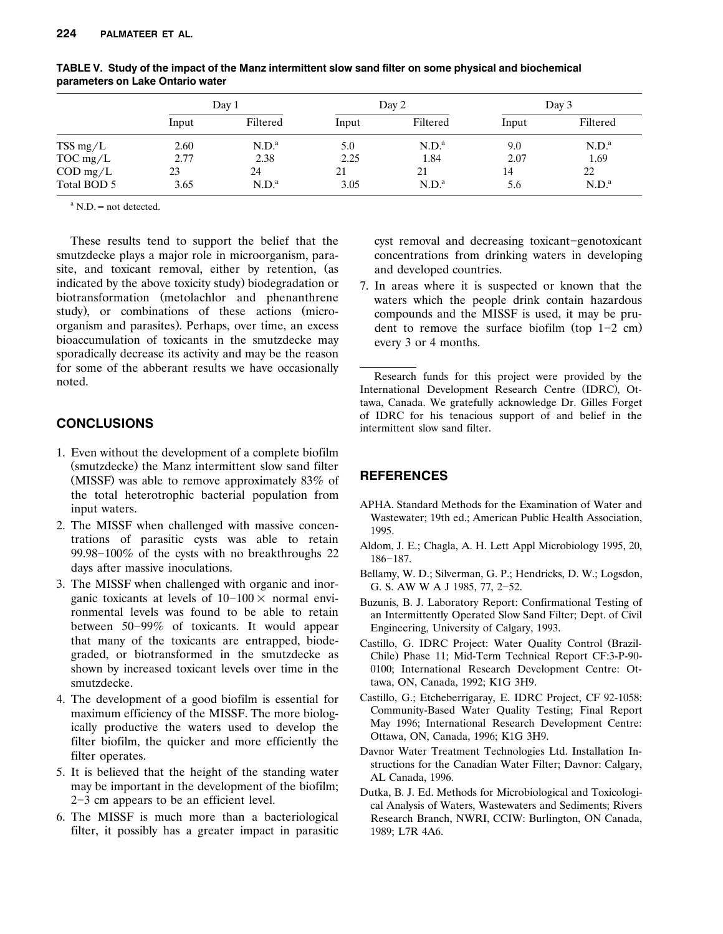|                           | Day 1 |                   | Day 2 |                   | Day 3 |                   |
|---------------------------|-------|-------------------|-------|-------------------|-------|-------------------|
|                           | Input | Filtered          | Input | Filtered          | Input | Filtered          |
| TSS mg/L                  | 2.60  | N.D. <sup>a</sup> | 5.0   | N.D. <sup>a</sup> | 9.0   | N.D. <sup>a</sup> |
| $TOC$ mg/L                | 2.77  | 2.38              | 2.25  | 1.84              | 2.07  | 1.69              |
| $\text{COD} \text{ mg/L}$ | 23    | 24                | 21    | 21                | 14    | 22                |
| Total BOD 5               | 3.65  | N.D. <sup>a</sup> | 3.05  | N.D. <sup>a</sup> | 5.6   | N.D. <sup>a</sup> |

**TABLE V. Study of the impact of the Manz intermittent slow sand filter on some physical and biochemical parameters on Lake Ontario water**

 $^{\rm a}$  N.D. = not detected.

These results tend to support the belief that the smutzdecke plays a major role in microorganism, parasite, and toxicant removal, either by retention, (as indicated by the above toxicity study) biodegradation or biotransformation (metolachlor and phenanthrene study), or combinations of these actions (microorganism and parasites). Perhaps, over time, an excess bioaccumulation of toxicants in the smutzdecke may sporadically decrease its activity and may be the reason for some of the abberant results we have occasionally noted.

# **CONCLUSIONS**

- 1. Even without the development of a complete biofilm (smutzdecke) the Manz intermittent slow sand filter (MISSF) was able to remove approximately  $83\%$  of the total heterotrophic bacterial population from input waters.
- 2. The MISSF when challenged with massive concentrations of parasitic cysts was able to retain 99.98–100% of the cysts with no breakthroughs  $22$ days after massive inoculations.
- 3. The MISSF when challenged with organic and inorganic toxicants at levels of  $10-100\times$  normal environmental levels was found to be able to retain between  $50-99\%$  of toxicants. It would appear that many of the toxicants are entrapped, biodegraded, or biotransformed in the smutzdecke as shown by increased toxicant levels over time in the smutzdecke.
- 4. The development of a good biofilm is essential for maximum efficiency of the MISSF. The more biologically productive the waters used to develop the filter biofilm, the quicker and more efficiently the filter operates.
- 5. It is believed that the height of the standing water may be important in the development of the biofilm;  $2-3$  cm appears to be an efficient level.
- 6. The MISSF is much more than a bacteriological filter, it possibly has a greater impact in parasitic

cyst removal and decreasing toxicant-genotoxicant concentrations from drinking waters in developing and developed countries.

7. In areas where it is suspected or known that the waters which the people drink contain hazardous compounds and the MISSF is used, it may be prudent to remove the surface biofilm (top  $1-2$  cm) every 3 or 4 months.

Research funds for this project were provided by the International Development Research Centre (IDRC), Ottawa, Canada. We gratefully acknowledge Dr. Gilles Forget of IDRC for his tenacious support of and belief in the intermittent slow sand filter.

# **REFERENCES**

- APHA. Standard Methods for the Examination of Water and Wastewater; 19th ed.; American Public Health Association, 1995.
- Aldom, J. E.; Chagla, A. H. Lett Appl Microbiology 1995, 20, 186-187.
- Bellamy, W. D.; Silverman, G. P.; Hendricks, D. W.; Logsdon, G. S. AW W A J 1985, 77, 2-52.
- Buzunis, B. J. Laboratory Report: Confirmational Testing of an Intermittently Operated Slow Sand Filter; Dept. of Civil Engineering, University of Calgary, 1993.
- Castillo, G. IDRC Project: Water Quality Control (Brazil-Chile) Phase 11; Mid-Term Technical Report CF:3-P-90-0100; International Research Development Centre: Ottawa, ON, Canada, 1992; K1G 3H9.
- Castillo, G.; Etcheberrigaray, E. IDRC Project, CF 92-1058: Community-Based Water Quality Testing; Final Report May 1996; International Research Development Centre: Ottawa, ON, Canada, 1996; K1G 3H9.
- Davnor Water Treatment Technologies Ltd. Installation Instructions for the Canadian Water Filter; Davnor: Calgary, AL Canada, 1996.
- Dutka, B. J. Ed. Methods for Microbiological and Toxicological Analysis of Waters, Wastewaters and Sediments; Rivers Research Branch, NWRI, CCIW: Burlington, ON Canada, 1989; L7R 4A6.